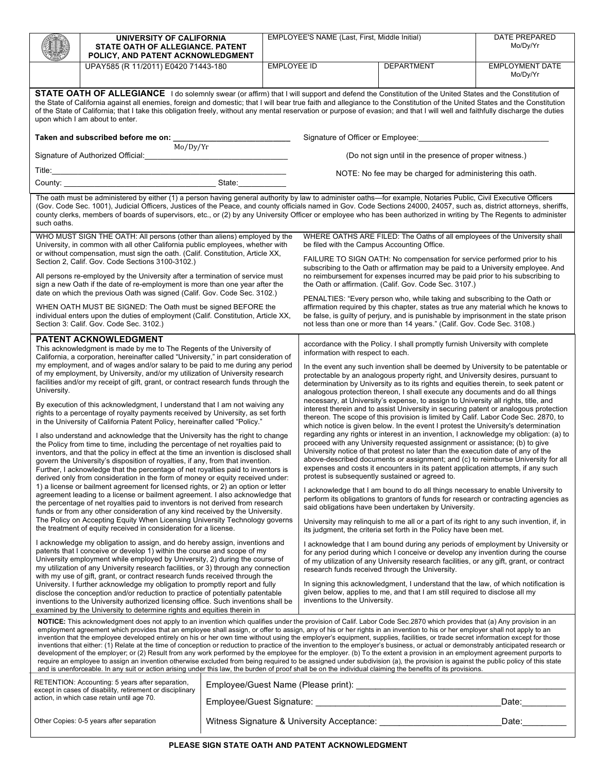|                                                                                                                                                                                                                                                                                                                                                                                                                                                                                                                                                                                                                                                                                                                                                                                                                                                                                                                                                                                                                                                                                                                                                                                                                                                                                                                                                                                                                                                                                                                                                                                                                                                                                                                                                                                                                                                                                                                                                                                                                                                                                                                                                                                                                                                                                                                                                                                                                                                                                       | UNIVERSITY OF CALIFORNIA<br>STATE OATH OF ALLEGIANCE. PATENT |  | EMPLOYEE'S NAME (Last, First, Middle Initial)                                                                                                                                                                                                                                                                                                                                                                                                                                                                                                                                                                                                                                                                                                                                                                                                                                                                                                                                                                                                                                                                                                                                                                                                                                                                                                                                                                                                                                                                                                                                                                                                                                                                                                                                                                                                                                                                                                                                                                                                                                                                                                                                                                                                           |                                                                                                                                                                                                                                                         |                   | <b>DATE PREPARED</b><br>Mo/Dy/Yr   |
|---------------------------------------------------------------------------------------------------------------------------------------------------------------------------------------------------------------------------------------------------------------------------------------------------------------------------------------------------------------------------------------------------------------------------------------------------------------------------------------------------------------------------------------------------------------------------------------------------------------------------------------------------------------------------------------------------------------------------------------------------------------------------------------------------------------------------------------------------------------------------------------------------------------------------------------------------------------------------------------------------------------------------------------------------------------------------------------------------------------------------------------------------------------------------------------------------------------------------------------------------------------------------------------------------------------------------------------------------------------------------------------------------------------------------------------------------------------------------------------------------------------------------------------------------------------------------------------------------------------------------------------------------------------------------------------------------------------------------------------------------------------------------------------------------------------------------------------------------------------------------------------------------------------------------------------------------------------------------------------------------------------------------------------------------------------------------------------------------------------------------------------------------------------------------------------------------------------------------------------------------------------------------------------------------------------------------------------------------------------------------------------------------------------------------------------------------------------------------------------|--------------------------------------------------------------|--|---------------------------------------------------------------------------------------------------------------------------------------------------------------------------------------------------------------------------------------------------------------------------------------------------------------------------------------------------------------------------------------------------------------------------------------------------------------------------------------------------------------------------------------------------------------------------------------------------------------------------------------------------------------------------------------------------------------------------------------------------------------------------------------------------------------------------------------------------------------------------------------------------------------------------------------------------------------------------------------------------------------------------------------------------------------------------------------------------------------------------------------------------------------------------------------------------------------------------------------------------------------------------------------------------------------------------------------------------------------------------------------------------------------------------------------------------------------------------------------------------------------------------------------------------------------------------------------------------------------------------------------------------------------------------------------------------------------------------------------------------------------------------------------------------------------------------------------------------------------------------------------------------------------------------------------------------------------------------------------------------------------------------------------------------------------------------------------------------------------------------------------------------------------------------------------------------------------------------------------------------------|---------------------------------------------------------------------------------------------------------------------------------------------------------------------------------------------------------------------------------------------------------|-------------------|------------------------------------|
|                                                                                                                                                                                                                                                                                                                                                                                                                                                                                                                                                                                                                                                                                                                                                                                                                                                                                                                                                                                                                                                                                                                                                                                                                                                                                                                                                                                                                                                                                                                                                                                                                                                                                                                                                                                                                                                                                                                                                                                                                                                                                                                                                                                                                                                                                                                                                                                                                                                                                       | POLICY, AND PATENT ACKNOWLEDGMENT                            |  |                                                                                                                                                                                                                                                                                                                                                                                                                                                                                                                                                                                                                                                                                                                                                                                                                                                                                                                                                                                                                                                                                                                                                                                                                                                                                                                                                                                                                                                                                                                                                                                                                                                                                                                                                                                                                                                                                                                                                                                                                                                                                                                                                                                                                                                         |                                                                                                                                                                                                                                                         |                   |                                    |
|                                                                                                                                                                                                                                                                                                                                                                                                                                                                                                                                                                                                                                                                                                                                                                                                                                                                                                                                                                                                                                                                                                                                                                                                                                                                                                                                                                                                                                                                                                                                                                                                                                                                                                                                                                                                                                                                                                                                                                                                                                                                                                                                                                                                                                                                                                                                                                                                                                                                                       | UPAY585 (R 11/2011) E0420 71443-180                          |  | <b>EMPLOYEE ID</b>                                                                                                                                                                                                                                                                                                                                                                                                                                                                                                                                                                                                                                                                                                                                                                                                                                                                                                                                                                                                                                                                                                                                                                                                                                                                                                                                                                                                                                                                                                                                                                                                                                                                                                                                                                                                                                                                                                                                                                                                                                                                                                                                                                                                                                      |                                                                                                                                                                                                                                                         | <b>DEPARTMENT</b> | <b>EMPLOYMENT DATE</b><br>Mo/Dy/Yr |
| STATE OATH OF ALLEGIANCE I do solemnly swear (or affirm) that I will support and defend the Constitution of the United States and the Constitution of<br>the State of California against all enemies, foreign and domestic; that I will bear true faith and allegiance to the Constitution of the United States and the Constitution<br>of the State of California; that I take this obligation freely, without any mental reservation or purpose of evasion; and that I will well and faithfully discharge the duties<br>upon which I am about to enter.                                                                                                                                                                                                                                                                                                                                                                                                                                                                                                                                                                                                                                                                                                                                                                                                                                                                                                                                                                                                                                                                                                                                                                                                                                                                                                                                                                                                                                                                                                                                                                                                                                                                                                                                                                                                                                                                                                                             |                                                              |  |                                                                                                                                                                                                                                                                                                                                                                                                                                                                                                                                                                                                                                                                                                                                                                                                                                                                                                                                                                                                                                                                                                                                                                                                                                                                                                                                                                                                                                                                                                                                                                                                                                                                                                                                                                                                                                                                                                                                                                                                                                                                                                                                                                                                                                                         |                                                                                                                                                                                                                                                         |                   |                                    |
| Taken and subscribed before me on: $\frac{1}{\text{Mo}/\text{Dy}/\text{Yr}}$<br>Signature of Officer or Employee:<br>Signature of Officer or Employee:                                                                                                                                                                                                                                                                                                                                                                                                                                                                                                                                                                                                                                                                                                                                                                                                                                                                                                                                                                                                                                                                                                                                                                                                                                                                                                                                                                                                                                                                                                                                                                                                                                                                                                                                                                                                                                                                                                                                                                                                                                                                                                                                                                                                                                                                                                                                |                                                              |  |                                                                                                                                                                                                                                                                                                                                                                                                                                                                                                                                                                                                                                                                                                                                                                                                                                                                                                                                                                                                                                                                                                                                                                                                                                                                                                                                                                                                                                                                                                                                                                                                                                                                                                                                                                                                                                                                                                                                                                                                                                                                                                                                                                                                                                                         |                                                                                                                                                                                                                                                         |                   |                                    |
|                                                                                                                                                                                                                                                                                                                                                                                                                                                                                                                                                                                                                                                                                                                                                                                                                                                                                                                                                                                                                                                                                                                                                                                                                                                                                                                                                                                                                                                                                                                                                                                                                                                                                                                                                                                                                                                                                                                                                                                                                                                                                                                                                                                                                                                                                                                                                                                                                                                                                       |                                                              |  |                                                                                                                                                                                                                                                                                                                                                                                                                                                                                                                                                                                                                                                                                                                                                                                                                                                                                                                                                                                                                                                                                                                                                                                                                                                                                                                                                                                                                                                                                                                                                                                                                                                                                                                                                                                                                                                                                                                                                                                                                                                                                                                                                                                                                                                         | (Do not sign until in the presence of proper witness.)                                                                                                                                                                                                  |                   |                                    |
|                                                                                                                                                                                                                                                                                                                                                                                                                                                                                                                                                                                                                                                                                                                                                                                                                                                                                                                                                                                                                                                                                                                                                                                                                                                                                                                                                                                                                                                                                                                                                                                                                                                                                                                                                                                                                                                                                                                                                                                                                                                                                                                                                                                                                                                                                                                                                                                                                                                                                       |                                                              |  |                                                                                                                                                                                                                                                                                                                                                                                                                                                                                                                                                                                                                                                                                                                                                                                                                                                                                                                                                                                                                                                                                                                                                                                                                                                                                                                                                                                                                                                                                                                                                                                                                                                                                                                                                                                                                                                                                                                                                                                                                                                                                                                                                                                                                                                         | NOTE: No fee may be charged for administering this oath.                                                                                                                                                                                                |                   |                                    |
|                                                                                                                                                                                                                                                                                                                                                                                                                                                                                                                                                                                                                                                                                                                                                                                                                                                                                                                                                                                                                                                                                                                                                                                                                                                                                                                                                                                                                                                                                                                                                                                                                                                                                                                                                                                                                                                                                                                                                                                                                                                                                                                                                                                                                                                                                                                                                                                                                                                                                       |                                                              |  |                                                                                                                                                                                                                                                                                                                                                                                                                                                                                                                                                                                                                                                                                                                                                                                                                                                                                                                                                                                                                                                                                                                                                                                                                                                                                                                                                                                                                                                                                                                                                                                                                                                                                                                                                                                                                                                                                                                                                                                                                                                                                                                                                                                                                                                         |                                                                                                                                                                                                                                                         |                   |                                    |
| The oath must be administered by either (1) a person having general authority by law to administer oaths-for example, Notaries Public, Civil Executive Officers<br>(Gov. Code Sec. 1001), Judicial Officers, Justices of the Peace, and county officials named in Gov. Code Sections 24000, 24057, such as, district attorneys, sheriffs,<br>county clerks, members of boards of supervisors, etc., or (2) by any University Officer or employee who has been authorized in writing by The Regents to administer<br>such oaths.                                                                                                                                                                                                                                                                                                                                                                                                                                                                                                                                                                                                                                                                                                                                                                                                                                                                                                                                                                                                                                                                                                                                                                                                                                                                                                                                                                                                                                                                                                                                                                                                                                                                                                                                                                                                                                                                                                                                                       |                                                              |  |                                                                                                                                                                                                                                                                                                                                                                                                                                                                                                                                                                                                                                                                                                                                                                                                                                                                                                                                                                                                                                                                                                                                                                                                                                                                                                                                                                                                                                                                                                                                                                                                                                                                                                                                                                                                                                                                                                                                                                                                                                                                                                                                                                                                                                                         |                                                                                                                                                                                                                                                         |                   |                                    |
| WHO MUST SIGN THE OATH: All persons (other than aliens) employed by the<br>University, in common with all other California public employees, whether with<br>or without compensation, must sign the oath. (Calif. Constitution, Article XX,                                                                                                                                                                                                                                                                                                                                                                                                                                                                                                                                                                                                                                                                                                                                                                                                                                                                                                                                                                                                                                                                                                                                                                                                                                                                                                                                                                                                                                                                                                                                                                                                                                                                                                                                                                                                                                                                                                                                                                                                                                                                                                                                                                                                                                           |                                                              |  |                                                                                                                                                                                                                                                                                                                                                                                                                                                                                                                                                                                                                                                                                                                                                                                                                                                                                                                                                                                                                                                                                                                                                                                                                                                                                                                                                                                                                                                                                                                                                                                                                                                                                                                                                                                                                                                                                                                                                                                                                                                                                                                                                                                                                                                         | WHERE OATHS ARE FILED: The Oaths of all employees of the University shall<br>be filed with the Campus Accounting Office.                                                                                                                                |                   |                                    |
| Section 2, Calif. Gov. Code Sections 3100-3102.)                                                                                                                                                                                                                                                                                                                                                                                                                                                                                                                                                                                                                                                                                                                                                                                                                                                                                                                                                                                                                                                                                                                                                                                                                                                                                                                                                                                                                                                                                                                                                                                                                                                                                                                                                                                                                                                                                                                                                                                                                                                                                                                                                                                                                                                                                                                                                                                                                                      |                                                              |  |                                                                                                                                                                                                                                                                                                                                                                                                                                                                                                                                                                                                                                                                                                                                                                                                                                                                                                                                                                                                                                                                                                                                                                                                                                                                                                                                                                                                                                                                                                                                                                                                                                                                                                                                                                                                                                                                                                                                                                                                                                                                                                                                                                                                                                                         | FAILURE TO SIGN OATH: No compensation for service performed prior to his<br>subscribing to the Oath or affirmation may be paid to a University employee. And                                                                                            |                   |                                    |
| All persons re-employed by the University after a termination of service must<br>sign a new Oath if the date of re-employment is more than one year after the<br>date on which the previous Oath was signed (Calif. Gov. Code Sec. 3102.)                                                                                                                                                                                                                                                                                                                                                                                                                                                                                                                                                                                                                                                                                                                                                                                                                                                                                                                                                                                                                                                                                                                                                                                                                                                                                                                                                                                                                                                                                                                                                                                                                                                                                                                                                                                                                                                                                                                                                                                                                                                                                                                                                                                                                                             |                                                              |  |                                                                                                                                                                                                                                                                                                                                                                                                                                                                                                                                                                                                                                                                                                                                                                                                                                                                                                                                                                                                                                                                                                                                                                                                                                                                                                                                                                                                                                                                                                                                                                                                                                                                                                                                                                                                                                                                                                                                                                                                                                                                                                                                                                                                                                                         | no reimbursement for expenses incurred may be paid prior to his subscribing to<br>the Oath or affirmation. (Calif. Gov. Code Sec. 3107.)<br>PENALTIES: "Every person who, while taking and subscribing to the Oath or                                   |                   |                                    |
| WHEN OATH MUST BE SIGNED: The Oath must be signed BEFORE the<br>individual enters upon the duties of employment (Calif. Constitution, Article XX,<br>Section 3: Calif. Gov. Code Sec. 3102.)                                                                                                                                                                                                                                                                                                                                                                                                                                                                                                                                                                                                                                                                                                                                                                                                                                                                                                                                                                                                                                                                                                                                                                                                                                                                                                                                                                                                                                                                                                                                                                                                                                                                                                                                                                                                                                                                                                                                                                                                                                                                                                                                                                                                                                                                                          |                                                              |  |                                                                                                                                                                                                                                                                                                                                                                                                                                                                                                                                                                                                                                                                                                                                                                                                                                                                                                                                                                                                                                                                                                                                                                                                                                                                                                                                                                                                                                                                                                                                                                                                                                                                                                                                                                                                                                                                                                                                                                                                                                                                                                                                                                                                                                                         | affirmation required by this chapter, states as true any material which he knows to<br>be false, is guilty of perjury, and is punishable by imprisonment in the state prison<br>not less than one or more than 14 years." (Calif. Gov. Code Sec. 3108.) |                   |                                    |
| <b>PATENT ACKNOWLEDGMENT</b><br>This acknowledgment is made by me to The Regents of the University of<br>California, a corporation, hereinafter called "University," in part consideration of<br>my employment, and of wages and/or salary to be paid to me during any period<br>of my employment, by University, and/or my utilization of University research<br>facilities and/or my receipt of gift, grant, or contract research funds through the<br>University.<br>By execution of this acknowledgment, I understand that I am not waiving any<br>rights to a percentage of royalty payments received by University, as set forth<br>in the University of California Patent Policy, hereinafter called "Policy."<br>I also understand and acknowledge that the University has the right to change<br>the Policy from time to time, including the percentage of net royalties paid to<br>inventors, and that the policy in effect at the time an invention is disclosed shall<br>govern the University's disposition of royalties, if any, from that invention.<br>Further, I acknowledge that the percentage of net royalties paid to inventors is<br>derived only from consideration in the form of money or equity received under:<br>1) a license or bailment agreement for licensed rights, or 2) an option or letter<br>agreement leading to a license or bailment agreement. I also acknowledge that<br>the percentage of net royalties paid to inventors is not derived from research<br>funds or from any other consideration of any kind received by the University.<br>The Policy on Accepting Equity When Licensing University Technology governs<br>the treatment of equity received in consideration for a license.<br>I acknowledge my obligation to assign, and do hereby assign, inventions and<br>patents that I conceive or develop 1) within the course and scope of my<br>University employment while employed by University, 2) during the course of<br>my utilization of any University research facilities, or 3) through any connection<br>with my use of gift, grant, or contract research funds received through the<br>University. I further acknowledge my obligation to promptly report and fully<br>disclose the conception and/or reduction to practice of potentially patentable<br>inventions to the University authorized licensing office. Such inventions shall be<br>examined by the University to determine rights and equities therein in |                                                              |  | accordance with the Policy. I shall promptly furnish University with complete<br>information with respect to each.<br>In the event any such invention shall be deemed by University to be patentable or<br>protectable by an analogous property right, and University desires, pursuant to<br>determination by University as to its rights and equities therein, to seek patent or<br>analogous protection thereon, I shall execute any documents and do all things<br>necessary, at University's expense, to assign to University all rights, title, and<br>interest therein and to assist University in securing patent or analogous protection<br>thereon. The scope of this provision is limited by Calif. Labor Code Sec. 2870, to<br>which notice is given below. In the event I protest the University's determination<br>regarding any rights or interest in an invention, I acknowledge my obligation: (a) to<br>proceed with any University requested assignment or assistance; (b) to give<br>University notice of that protest no later than the execution date of any of the<br>above-described documents or assignment; and (c) to reimburse University for all<br>expenses and costs it encounters in its patent application attempts, if any such<br>protest is subsequently sustained or agreed to.<br>I acknowledge that I am bound to do all things necessary to enable University to<br>perform its obligations to grantors of funds for research or contracting agencies as<br>said obligations have been undertaken by University.<br>University may relinguish to me all or a part of its right to any such invention, if, in<br>its judgment, the criteria set forth in the Policy have been met.<br>I acknowledge that I am bound during any periods of employment by University or<br>for any period during which I conceive or develop any invention during the course<br>of my utilization of any University research facilities, or any gift, grant, or contract<br>research funds received through the University.<br>In signing this acknowledgment, I understand that the law, of which notification is<br>given below, applies to me, and that I am still required to disclose all my<br>inventions to the University. |                                                                                                                                                                                                                                                         |                   |                                    |
| NOTICE: This acknowledgment does not apply to an invention which qualifies under the provision of Calif. Labor Code Sec.2870 which provides that (a) Any provision in an<br>employment agreement which provides that an employee shall assign, or offer to assign, any of his or her rights in an invention to his or her employer shall not apply to an<br>invention that the employee developed entirely on his or her own time without using the employer's equipment, supplies, facilities, or trade secret information except for those<br>inventions that either: (1) Relate at the time of conception or reduction to practice of the invention to the employer's business, or actual or demonstrably anticipated research or<br>development of the employer; or (2) Result from any work performed by the employee for the employer. (b) To the extent a provision in an employment agreement purports to<br>require an employee to assign an invention otherwise excluded from being required to be assigned under subdivision (a), the provision is against the public policy of this state<br>and is unenforceable. In any suit or action arising under this law, the burden of proof shall be on the individual claiming the benefits of its provisions.                                                                                                                                                                                                                                                                                                                                                                                                                                                                                                                                                                                                                                                                                                                                                                                                                                                                                                                                                                                                                                                                                                                                                                                                                  |                                                              |  |                                                                                                                                                                                                                                                                                                                                                                                                                                                                                                                                                                                                                                                                                                                                                                                                                                                                                                                                                                                                                                                                                                                                                                                                                                                                                                                                                                                                                                                                                                                                                                                                                                                                                                                                                                                                                                                                                                                                                                                                                                                                                                                                                                                                                                                         |                                                                                                                                                                                                                                                         |                   |                                    |
| RETENTION: Accounting: 5 years after separation,<br>except in cases of disability, retirement or disciplinary<br>action, in which case retain until age 70.                                                                                                                                                                                                                                                                                                                                                                                                                                                                                                                                                                                                                                                                                                                                                                                                                                                                                                                                                                                                                                                                                                                                                                                                                                                                                                                                                                                                                                                                                                                                                                                                                                                                                                                                                                                                                                                                                                                                                                                                                                                                                                                                                                                                                                                                                                                           |                                                              |  |                                                                                                                                                                                                                                                                                                                                                                                                                                                                                                                                                                                                                                                                                                                                                                                                                                                                                                                                                                                                                                                                                                                                                                                                                                                                                                                                                                                                                                                                                                                                                                                                                                                                                                                                                                                                                                                                                                                                                                                                                                                                                                                                                                                                                                                         |                                                                                                                                                                                                                                                         |                   |                                    |
|                                                                                                                                                                                                                                                                                                                                                                                                                                                                                                                                                                                                                                                                                                                                                                                                                                                                                                                                                                                                                                                                                                                                                                                                                                                                                                                                                                                                                                                                                                                                                                                                                                                                                                                                                                                                                                                                                                                                                                                                                                                                                                                                                                                                                                                                                                                                                                                                                                                                                       |                                                              |  |                                                                                                                                                                                                                                                                                                                                                                                                                                                                                                                                                                                                                                                                                                                                                                                                                                                                                                                                                                                                                                                                                                                                                                                                                                                                                                                                                                                                                                                                                                                                                                                                                                                                                                                                                                                                                                                                                                                                                                                                                                                                                                                                                                                                                                                         |                                                                                                                                                                                                                                                         |                   | Date:_________                     |
| Other Copies: 0-5 years after separation                                                                                                                                                                                                                                                                                                                                                                                                                                                                                                                                                                                                                                                                                                                                                                                                                                                                                                                                                                                                                                                                                                                                                                                                                                                                                                                                                                                                                                                                                                                                                                                                                                                                                                                                                                                                                                                                                                                                                                                                                                                                                                                                                                                                                                                                                                                                                                                                                                              |                                                              |  |                                                                                                                                                                                                                                                                                                                                                                                                                                                                                                                                                                                                                                                                                                                                                                                                                                                                                                                                                                                                                                                                                                                                                                                                                                                                                                                                                                                                                                                                                                                                                                                                                                                                                                                                                                                                                                                                                                                                                                                                                                                                                                                                                                                                                                                         |                                                                                                                                                                                                                                                         |                   | Date:                              |